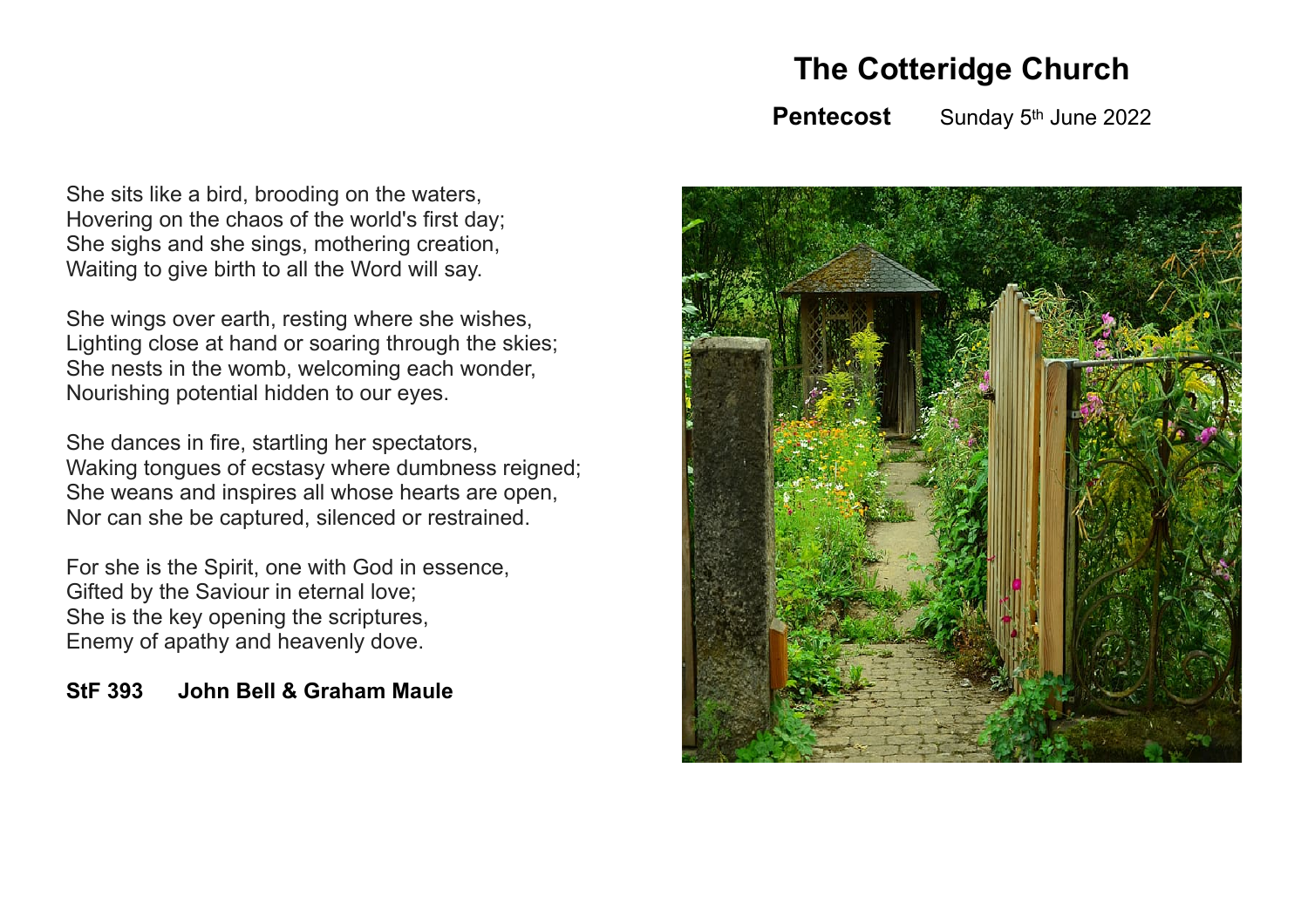**The Cotteridge Church**

**Pentecost** Sunday 5<sup>th</sup> June 2022

She sits like a bird, brooding on the waters, Hovering on the chaos of the world's first day; She sighs and she sings, mothering creation, Waiting to give birth to all the Word will say.

She wings over earth, resting where she wishes, Lighting close at hand or soaring through the skies; She nests in the womb, welcoming each wonder, Nourishing potential hidden to our eyes.

She dances in fire, startling her spectators, Waking tongues of ecstasy where dumbness reigned; She weans and inspires all whose hearts are open, Nor can she be captured, silenced or restrained.

For she is the Spirit, one with God in essence, Gifted by the Saviour in eternal love; She is the key opening the scriptures, Enemy of apathy and heavenly dove.

**StF 393 John Bell & Graham Maule**